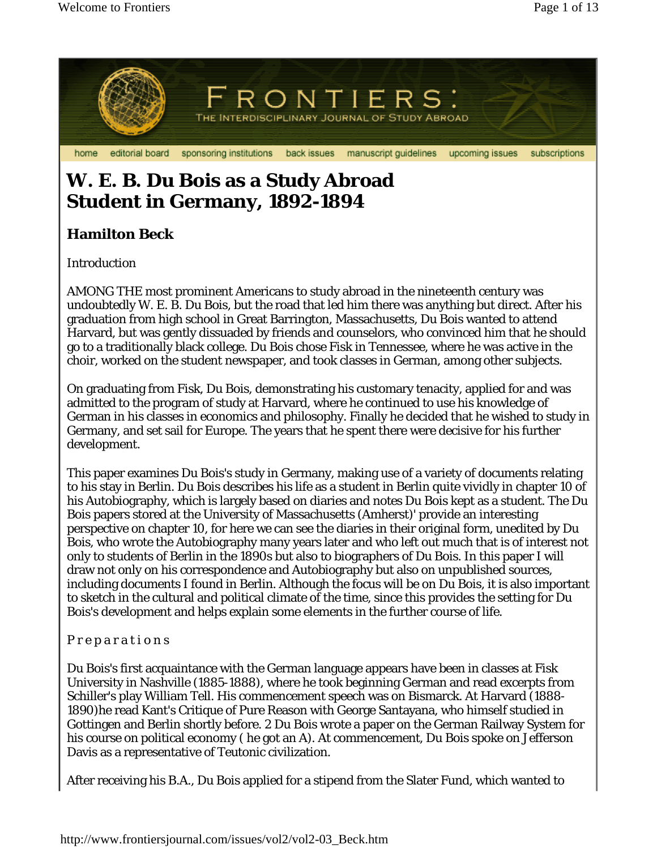

# **W. E. B. Du Bois as a Study Abroad Student in Germany, 1892-1894**

## **Hamilton Beck**

Introduction

AMONG THE most prominent Americans to study abroad in the nineteenth century was undoubtedly W. E. B. Du Bois, but the road that led him there was anything but direct. After his graduation from high school in Great Barrington, Massachusetts, Du Bois wanted to attend Harvard, but was gently dissuaded by friends and counselors, who convinced him that he should go to a traditionally black college. Du Bois chose Fisk in Tennessee, where he was active in the choir, worked on the student newspaper, and took classes in German, among other subjects.

On graduating from Fisk, Du Bois, demonstrating his customary tenacity, applied for and was admitted to the program of study at Harvard, where he continued to use his knowledge of German in his classes in economics and philosophy. Finally he decided that he wished to study in Germany, and set sail for Europe. The years that he spent there were decisive for his further development.

This paper examines Du Bois's study in Germany, making use of a variety of documents relating to his stay in Berlin. Du Bois describes his life as a student in Berlin quite vividly in chapter 10 of his Autobiography, which is largely based on diaries and notes Du Bois kept as a student. The Du Bois papers stored at the University of Massachusetts (Amherst)' provide an interesting perspective on chapter 10, for here we can see the diaries in their original form, unedited by Du Bois, who wrote the Autobiography many years later and who left out much that is of interest not only to students of Berlin in the 1890s but also to biographers of Du Bois. In this paper I will draw not only on his correspondence and Autobiography but also on unpublished sources, including documents I found in Berlin. Although the focus will be on Du Bois, it is also important to sketch in the cultural and political climate of the time, since this provides the setting for Du Bois's development and helps explain some elements in the further course of life.

### P r e p a r a t i o n s

Du Bois's first acquaintance with the German language appears have been in classes at Fisk University in Nashville (1885-1888), where he took beginning German and read excerpts from Schiller's play William Tell. His commencement speech was on Bismarck. At Harvard (1888- 1890)he read Kant's Critique of Pure Reason with George Santayana, who himself studied in Gottingen and Berlin shortly before. 2 Du Bois wrote a paper on the German Railway System for his course on political economy ( he got an A). At commencement, Du Bois spoke on Jefferson Davis as a representative of Teutonic civilization.

After receiving his B.A., Du Bois applied for a stipend from the Slater Fund, which wanted to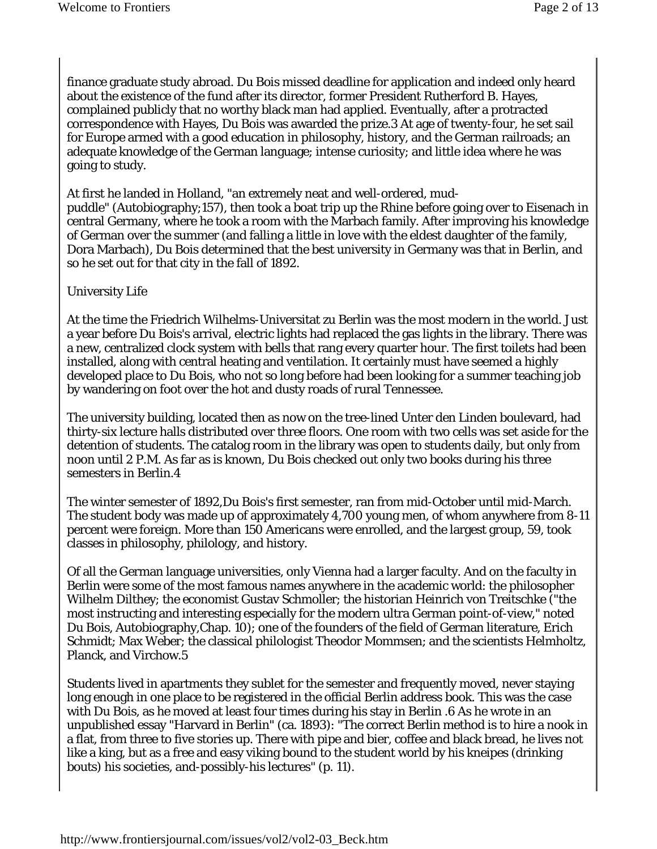finance graduate study abroad. Du Bois missed deadline for application and indeed only heard about the existence of the fund after its director, former President Rutherford B. Hayes, complained publicly that no worthy black man had applied. Eventually, after a protracted correspondence with Hayes, Du Bois was awarded the prize.3 At age of twenty-four, he set sail for Europe armed with a good education in philosophy, history, and the German railroads; an adequate knowledge of the German language; intense curiosity; and little idea where he was going to study.

At first he landed in Holland, "an extremely neat and well-ordered, mudpuddle" (Autobiography;157), then took a boat trip up the Rhine before going over to Eisenach in central Germany, where he took a room with the Marbach family. After improving his knowledge of German over the summer (and falling a little in love with the eldest daughter of the family, Dora Marbach), Du Bois determined that the best university in Germany was that in Berlin, and so he set out for that city in the fall of 1892.

#### University Life

At the time the Friedrich Wilhelms-Universitat zu Berlin was the most modern in the world. Just a year before Du Bois's arrival, electric lights had replaced the gas lights in the library. There was a new, centralized clock system with bells that rang every quarter hour. The first toilets had been installed, along with central heating and ventilation. It certainly must have seemed a highly developed place to Du Bois, who not so long before had been looking for a summer teaching job by wandering on foot over the hot and dusty roads of rural Tennessee.

The university building, located then as now on the tree-lined Unter den Linden boulevard, had thirty-six lecture halls distributed over three floors. One room with two cells was set aside for the detention of students. The catalog room in the library was open to students daily, but only from noon until 2 P.M. As far as is known, Du Bois checked out only two books during his three semesters in Berlin.4

The winter semester of 1892,Du Bois's first semester, ran from mid-October until mid-March. The student body was made up of approximately 4,700 young men, of whom anywhere from 8-11 percent were foreign. More than 150 Americans were enrolled, and the largest group, 59, took classes in philosophy, philology, and history.

Of all the German language universities, only Vienna had a larger faculty. And on the faculty in Berlin were some of the most famous names anywhere in the academic world: the philosopher Wilhelm Dilthey; the economist Gustav Schmoller; the historian Heinrich von Treitschke ("the most instructing and interesting especially for the modern ultra German point-of-view," noted Du Bois, Autobiography,Chap. 10); one of the founders of the field of German literature, Erich Schmidt; Max Weber; the classical philologist Theodor Mommsen; and the scientists Helmholtz, Planck, and Virchow.5

Students lived in apartments they sublet for the semester and frequently moved, never staying long enough in one place to be registered in the official Berlin address book. This was the case with Du Bois, as he moved at least four times during his stay in Berlin .6 As he wrote in an unpublished essay "Harvard in Berlin" (ca. 1893): "The correct Berlin method is to hire a nook in a flat, from three to five stories up. There with pipe and bier, coffee and black bread, he lives not like a king, but as a free and easy viking bound to the student world by his kneipes (drinking bouts) his societies, and-possibly-his lectures" (p. 11).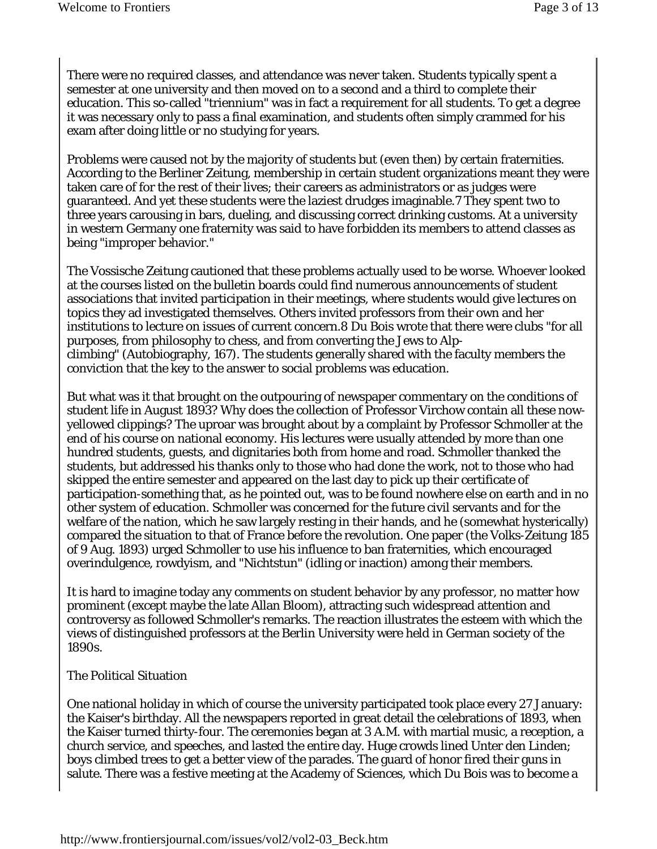There were no required classes, and attendance was never taken. Students typically spent a semester at one university and then moved on to a second and a third to complete their education. This so-called "triennium" was in fact a requirement for all students. To get a degree it was necessary only to pass a final examination, and students often simply crammed for his exam after doing little or no studying for years.

Problems were caused not by the majority of students but (even then) by certain fraternities. According to the Berliner Zeitung, membership in certain student organizations meant they were taken care of for the rest of their lives; their careers as administrators or as judges were guaranteed. And yet these students were the laziest drudges imaginable.7 They spent two to three years carousing in bars, dueling, and discussing correct drinking customs. At a university in western Germany one fraternity was said to have forbidden its members to attend classes as being "improper behavior."

The Vossische Zeitung cautioned that these problems actually used to be worse. Whoever looked at the courses listed on the bulletin boards could find numerous announcements of student associations that invited participation in their meetings, where students would give lectures on topics they ad investigated themselves. Others invited professors from their own and her institutions to lecture on issues of current concern.8 Du Bois wrote that there were clubs "for all purposes, from philosophy to chess, and from converting the Jews to Alpclimbing" (Autobiography, 167). The students generally shared with the faculty members the conviction that the key to the answer to social problems was education.

But what was it that brought on the outpouring of newspaper commentary on the conditions of student life in August 1893? Why does the collection of Professor Virchow contain all these nowyellowed clippings? The uproar was brought about by a complaint by Professor Schmoller at the end of his course on national economy. His lectures were usually attended by more than one hundred students, guests, and dignitaries both from home and road. Schmoller thanked the students, but addressed his thanks only to those who had done the work, not to those who had skipped the entire semester and appeared on the last day to pick up their certificate of participation-something that, as he pointed out, was to be found nowhere else on earth and in no other system of education. Schmoller was concerned for the future civil servants and for the welfare of the nation, which he saw largely resting in their hands, and he (somewhat hysterically) compared the situation to that of France before the revolution. One paper (the Volks-Zeitung 185 of 9 Aug. 1893) urged Schmoller to use his influence to ban fraternities, which encouraged overindulgence, rowdyism, and "Nichtstun" (idling or inaction) among their members.

It is hard to imagine today any comments on student behavior by any professor, no matter how prominent (except maybe the late Allan Bloom), attracting such widespread attention and controversy as followed Schmoller's remarks. The reaction illustrates the esteem with which the views of distinguished professors at the Berlin University were held in German society of the 1890s.

#### The Political Situation

One national holiday in which of course the university participated took place every 27 January: the Kaiser's birthday. All the newspapers reported in great detail the celebrations of 1893, when the Kaiser turned thirty-four. The ceremonies began at 3 A.M. with martial music, a reception, a church service, and speeches, and lasted the entire day. Huge crowds lined Unter den Linden; boys climbed trees to get a better view of the parades. The guard of honor fired their guns in salute. There was a festive meeting at the Academy of Sciences, which Du Bois was to become a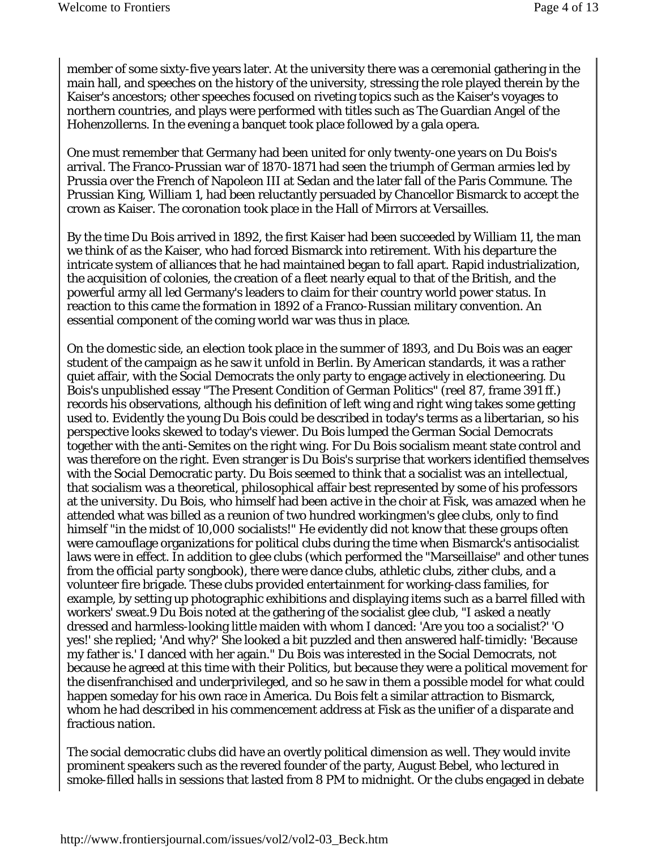member of some sixty-five years later. At the university there was a ceremonial gathering in the main hall, and speeches on the history of the university, stressing the role played therein by the Kaiser's ancestors; other speeches focused on riveting topics such as the Kaiser's voyages to northern countries, and plays were performed with titles such as The Guardian Angel of the Hohenzollerns. In the evening a banquet took place followed by a gala opera.

One must remember that Germany had been united for only twenty-one years on Du Bois's arrival. The Franco-Prussian war of 1870-1871 had seen the triumph of German armies led by Prussia over the French of Napoleon III at Sedan and the later fall of the Paris Commune. The Prussian King, William 1, had been reluctantly persuaded by Chancellor Bismarck to accept the crown as Kaiser. The coronation took place in the Hall of Mirrors at Versailles.

By the time Du Bois arrived in 1892, the first Kaiser had been succeeded by William 11, the man we think of as the Kaiser, who had forced Bismarck into retirement. With his departure the intricate system of alliances that he had maintained began to fall apart. Rapid industrialization, the acquisition of colonies, the creation of a fleet nearly equal to that of the British, and the powerful army all led Germany's leaders to claim for their country world power status. In reaction to this came the formation in 1892 of a Franco-Russian military convention. An essential component of the coming world war was thus in place.

On the domestic side, an election took place in the summer of 1893, and Du Bois was an eager student of the campaign as he saw it unfold in Berlin. By American standards, it was a rather quiet affair, with the Social Democrats the only party to engage actively in electioneering. Du Bois's unpublished essay "The Present Condition of German Politics" (reel 87, frame 391 ff.) records his observations, although his definition of left wing and right wing takes some getting used to. Evidently the young Du Bois could be described in today's terms as a libertarian, so his perspective looks skewed to today's viewer. Du Bois lumped the German Social Democrats together with the anti-Semites on the right wing. For Du Bois socialism meant state control and was therefore on the right. Even stranger is Du Bois's surprise that workers identified themselves with the Social Democratic party. Du Bois seemed to think that a socialist was an intellectual, that socialism was a theoretical, philosophical affair best represented by some of his professors at the university. Du Bois, who himself had been active in the choir at Fisk, was amazed when he attended what was billed as a reunion of two hundred workingmen's glee clubs, only to find himself "in the midst of 10,000 socialists!" He evidently did not know that these groups often were camouflage organizations for political clubs during the time when Bismarck's antisocialist laws were in effect. In addition to glee clubs (which performed the "Marseillaise" and other tunes from the official party songbook), there were dance clubs, athletic clubs, zither clubs, and a volunteer fire brigade. These clubs provided entertainment for working-class families, for example, by setting up photographic exhibitions and displaying items such as a barrel filled with workers' sweat.9 Du Bois noted at the gathering of the socialist glee club, "I asked a neatly dressed and harmless-looking little maiden with whom I danced: 'Are you too a socialist?' 'O yes!' she replied; 'And why?' She looked a bit puzzled and then answered half-timidly: 'Because my father is.' I danced with her again." Du Bois was interested in the Social Democrats, not because he agreed at this time with their Politics, but because they were a political movement for the disenfranchised and underprivileged, and so he saw in them a possible model for what could happen someday for his own race in America. Du Bois felt a similar attraction to Bismarck, whom he had described in his commencement address at Fisk as the unifier of a disparate and fractious nation.

The social democratic clubs did have an overtly political dimension as well. They would invite prominent speakers such as the revered founder of the party, August Bebel, who lectured in smoke-filled halls in sessions that lasted from 8 PM to midnight. Or the clubs engaged in debate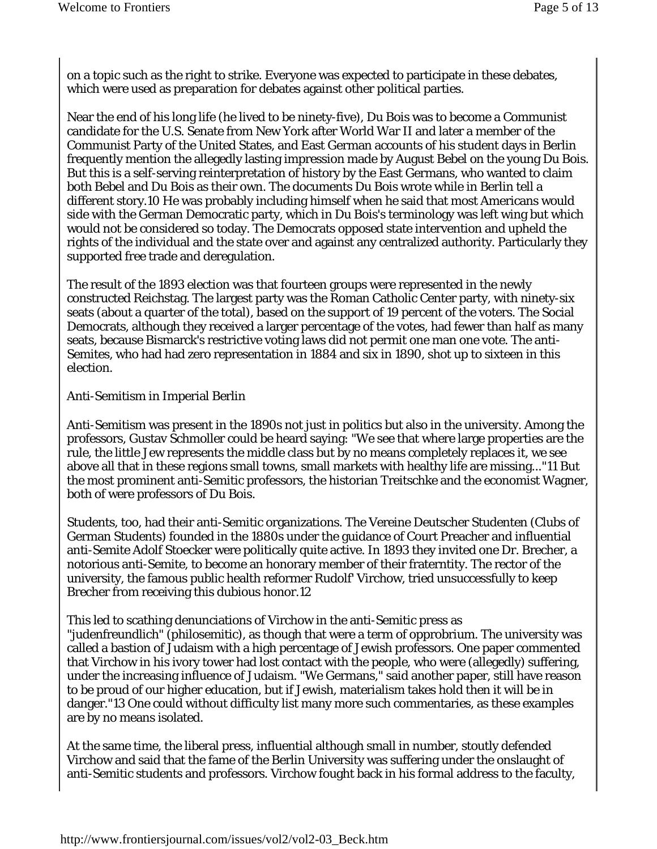on a topic such as the right to strike. Everyone was expected to participate in these debates, which were used as preparation for debates against other political parties.

Near the end of his long life (he lived to be ninety-five), Du Bois was to become a Communist candidate for the U.S. Senate from New York after World War II and later a member of the Communist Party of the United States, and East German accounts of his student days in Berlin frequently mention the allegedly lasting impression made by August Bebel on the young Du Bois. But this is a self-serving reinterpretation of history by the East Germans, who wanted to claim both Bebel and Du Bois as their own. The documents Du Bois wrote while in Berlin tell a different story.10 He was probably including himself when he said that most Americans would side with the German Democratic party, which in Du Bois's terminology was left wing but which would not be considered so today. The Democrats opposed state intervention and upheld the rights of the individual and the state over and against any centralized authority. Particularly they supported free trade and deregulation.

The result of the 1893 election was that fourteen groups were represented in the newly constructed Reichstag. The largest party was the Roman Catholic Center party, with ninety-six seats (about a quarter of the total), based on the support of 19 percent of the voters. The Social Democrats, although they received a larger percentage of the votes, had fewer than half as many seats, because Bismarck's restrictive voting laws did not permit one man one vote. The anti-Semites, who had had zero representation in 1884 and six in 1890, shot up to sixteen in this election.

Anti-Semitism in Imperial Berlin

Anti-Semitism was present in the 1890s not just in politics but also in the university. Among the professors, Gustav Schmoller could be heard saying: "We see that where large properties are the rule, the little Jew represents the middle class but by no means completely replaces it, we see above all that in these regions small towns, small markets with healthy life are missing..."11 But the most prominent anti-Semitic professors, the historian Treitschke and the economist Wagner, both of were professors of Du Bois.

Students, too, had their anti-Semitic organizations. The Vereine Deutscher Studenten (Clubs of German Students) founded in the 1880s under the guidance of Court Preacher and influential anti-Semite Adolf Stoecker were politically quite active. In 1893 they invited one Dr. Brecher, a notorious anti-Semite, to become an honorary member of their fraterntity. The rector of the university, the famous public health reformer Rudolf' Virchow, tried unsuccessfully to keep Brecher from receiving this dubious honor.12

This led to scathing denunciations of Virchow in the anti-Semitic press as "judenfreundlich" (philosemitic), as though that were a term of opprobrium. The university was called a bastion of Judaism with a high percentage of Jewish professors. One paper commented that Virchow in his ivory tower had lost contact with the people, who were (allegedly) suffering, under the increasing influence of Judaism. "We Germans," said another paper, still have reason to be proud of our higher education, but if Jewish, materialism takes hold then it will be in danger."13 One could without difficulty list many more such commentaries, as these examples are by no means isolated.

At the same time, the liberal press, influential although small in number, stoutly defended Virchow and said that the fame of the Berlin University was suffering under the onslaught of anti-Semitic students and professors. Virchow fought back in his formal address to the faculty,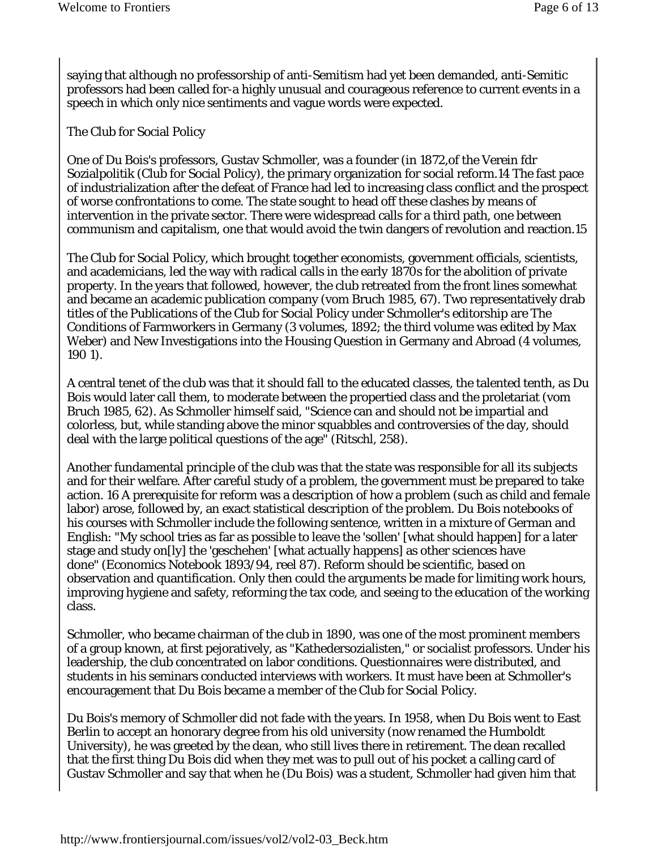saying that although no professorship of anti-Semitism had yet been demanded, anti-Semitic professors had been called for-a highly unusual and courageous reference to current events in a speech in which only nice sentiments and vague words were expected.

#### The Club for Social Policy

One of Du Bois's professors, Gustav Schmoller, was a founder (in 1872,of the Verein fdr Sozialpolitik (Club for Social Policy), the primary organization for social reform.14 The fast pace of industrialization after the defeat of France had led to increasing class conflict and the prospect of worse confrontations to come. The state sought to head off these clashes by means of intervention in the private sector. There were widespread calls for a third path, one between communism and capitalism, one that would avoid the twin dangers of revolution and reaction.15

The Club for Social Policy, which brought together economists, government officials, scientists, and academicians, led the way with radical calls in the early 1870s for the abolition of private property. In the years that followed, however, the club retreated from the front lines somewhat and became an academic publication company (vom Bruch 1985, 67). Two representatively drab titles of the Publications of the Club for Social Policy under Schmoller's editorship are The Conditions of Farmworkers in Germany (3 volumes, 1892; the third volume was edited by Max Weber) and New Investigations into the Housing Question in Germany and Abroad (4 volumes, 190 1).

A central tenet of the club was that it should fall to the educated classes, the talented tenth, as Du Bois would later call them, to moderate between the propertied class and the proletariat (vom Bruch 1985, 62). As Schmoller himself said, "Science can and should not be impartial and colorless, but, while standing above the minor squabbles and controversies of the day, should deal with the large political questions of the age" (Ritschl, 258).

Another fundamental principle of the club was that the state was responsible for all its subjects and for their welfare. After careful study of a problem, the government must be prepared to take action. 16 A prerequisite for reform was a description of how a problem (such as child and female labor) arose, followed by, an exact statistical description of the problem. Du Bois notebooks of his courses with Schmoller include the following sentence, written in a mixture of German and English: "My school tries as far as possible to leave the 'sollen' [what should happen] for a later stage and study on[ly] the 'geschehen' [what actually happens] as other sciences have done" (Economics Notebook 1893/94, reel 87). Reform should be scientific, based on observation and quantification. Only then could the arguments be made for limiting work hours, improving hygiene and safety, reforming the tax code, and seeing to the education of the working class.

Schmoller, who became chairman of the club in 1890, was one of the most prominent members of a group known, at first pejoratively, as "Kathedersozialisten," or socialist professors. Under his leadership, the club concentrated on labor conditions. Questionnaires were distributed, and students in his seminars conducted interviews with workers. It must have been at Schmoller's encouragement that Du Bois became a member of the Club for Social Policy.

Du Bois's memory of Schmoller did not fade with the years. In 1958, when Du Bois went to East Berlin to accept an honorary degree from his old university (now renamed the Humboldt University), he was greeted by the dean, who still lives there in retirement. The dean recalled that the first thing Du Bois did when they met was to pull out of his pocket a calling card of Gustav Schmoller and say that when he (Du Bois) was a student, Schmoller had given him that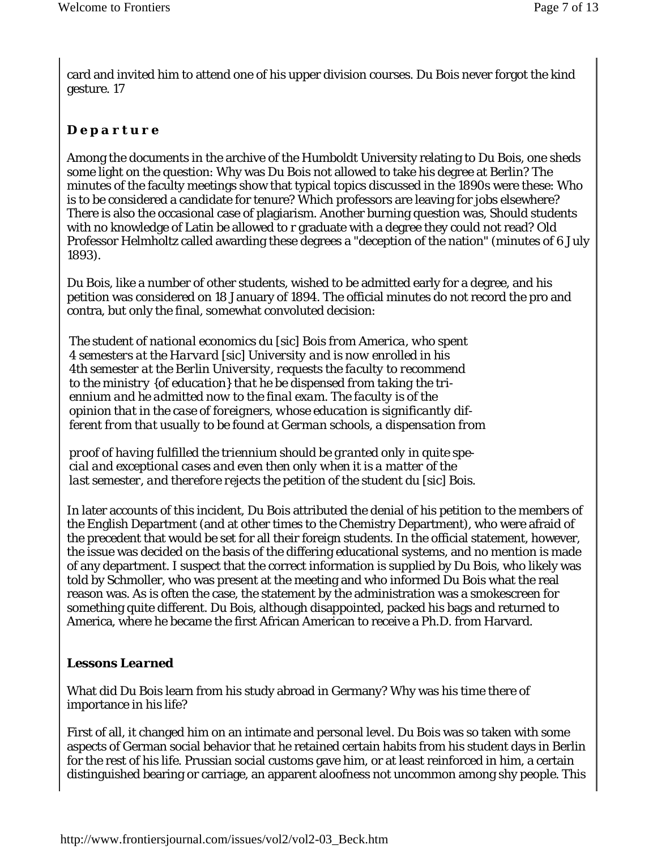card and invited him to attend one of his upper division courses. Du Bois never forgot the kind gesture. 17

## *D e p a r t u r e*

Among the documents in the archive of the Humboldt University relating to Du Bois, one sheds some light on the question: Why was Du Bois not allowed to take his degree at Berlin? The minutes of the faculty meetings show that typical topics discussed in the 1890s were these: Who is to be considered a candidate for tenure? Which professors are leaving for jobs elsewhere? There is also the occasional case of plagiarism. Another burning question was, Should students with no knowledge of Latin be allowed to r graduate with a degree they could not read? Old Professor Helmholtz called awarding these degrees a "deception of the nation" (minutes of 6 July 1893).

Du Bois, like a number of other students, wished to be admitted early for a degree, and his petition was considered on 18 January of 1894. The official minutes do not record the pro and contra, but only the final, somewhat convoluted decision:

*The student of national economics du* [sic] *Bois from America, who spent 4 semesters at the Harvard* [sic] *University and is now enrolled in his 4th semester at the Berlin University, requests the faculty to recommend to the ministry {of education} that he be dispensed from taking the triennium and he admitted now to the final exam. The faculty is of the opinion that in the case of foreigners, whose education is significantly different from that usually to be found at German schools, a dispensation from* 

*proof of having fulfilled the triennium should be granted only in quite special and exceptional cases and even then only when it is a matter of the last semester, and therefore rejects the petition of the student du [sic] Bois.* 

In later accounts of this incident, Du Bois attributed the denial of his petition to the members of the English Department (and at other times to the Chemistry Department), who were afraid of the precedent that would be set for all their foreign students. In the official statement, however, the issue was decided on the basis of the differing educational systems, and no mention is made of any department. I suspect that the correct information is supplied by Du Bois, who likely was told by Schmoller, who was present at the meeting and who informed Du Bois what the real reason was. As is often the case, the statement by the administration was a smokescreen for something quite different. Du Bois, although disappointed, packed his bags and returned to America, where he became the first African American to receive a Ph.D. from Harvard.

## *Lessons Learned*

What did Du Bois learn from his study abroad in Germany? Why was his time there of importance in his life?

First of all, it changed him on an intimate and personal level. Du Bois was so taken with some aspects of German social behavior that he retained certain habits from his student days in Berlin for the rest of his life. Prussian social customs gave him, or at least reinforced in him, a certain distinguished bearing or carriage, an apparent aloofness not uncommon among shy people. This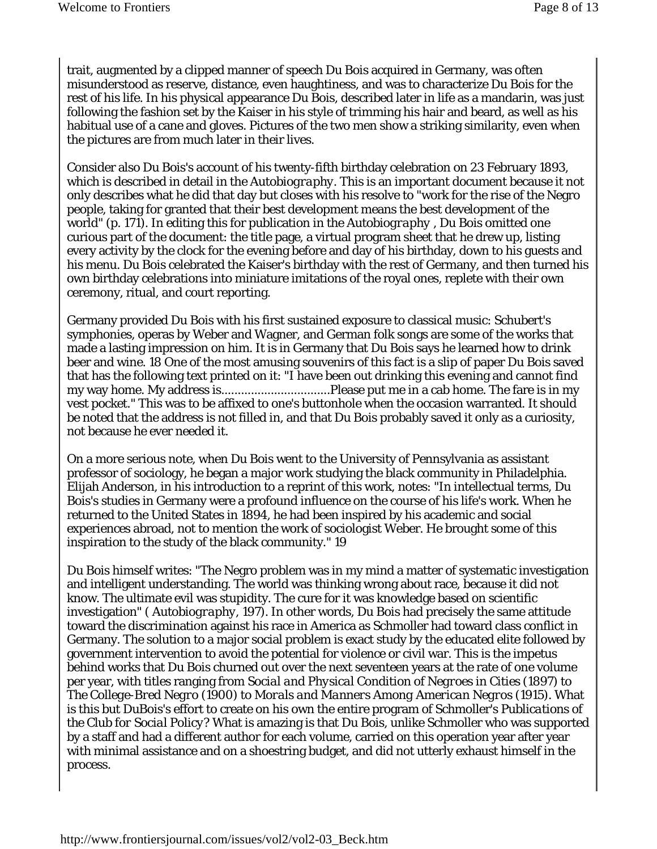trait, augmented by a clipped manner of speech Du Bois acquired in Germany, was often misunderstood as reserve, distance, even haughtiness, and was to characterize Du Bois for the rest of his life. In his physical appearance Du Bois, described later in life as a mandarin, was just following the fashion set by the Kaiser in his style of trimming his hair and beard, as well as his habitual use of a cane and gloves. Pictures of the two men show a striking similarity, even when the pictures are from much later in their lives.

Consider also Du Bois's account of his twenty-fifth birthday celebration on 23 February 1893, which is described in detail in the *Autobiography.* This is an important document because it not only describes what he did that day but closes with his resolve to "work for the rise of the Negro people, taking for granted that their best development means the best development of the world" (p. 171). In editing this for publication in the *Autobiography* , Du Bois omitted one curious part of the document: the title page, a virtual program sheet that he drew up, listing every activity by the clock for the evening before and day of his birthday, down to his guests and his menu. Du Bois celebrated the Kaiser's birthday with the rest of Germany, and then turned his own birthday celebrations into miniature imitations of the royal ones, replete with their own ceremony, ritual, and court reporting.

Germany provided Du Bois with his first sustained exposure to classical music: Schubert's symphonies, operas by Weber and Wagner, and German folk songs are some of the works that made a lasting impression on him. It is in Germany that Du Bois says he learned how to drink beer and wine. 18 One of the most amusing souvenirs of this fact is a slip of paper Du Bois saved that has the following text printed on it: "I have been out drinking this evening and cannot find my way home. My address is.................................Please put me in a cab home. The fare is in my vest pocket." This was to be affixed to one's buttonhole when the occasion warranted. It should be noted that the address is not filled in, and that Du Bois probably saved it only as a curiosity, not because he ever needed it.

On a more serious note, when Du Bois went to the University of Pennsylvania as assistant professor of sociology, he began a major work studying the black community in Philadelphia. Elijah Anderson, in his introduction to a reprint of this work, notes: "In intellectual terms, Du Bois's studies in Germany were a profound influence on the course of his life's work. When he returned to the United States in 1894, he had been inspired by his academic and social experiences abroad, not to mention the work of sociologist Weber. He brought some of this inspiration to the study of the black community." 19

Du Bois himself writes: "The Negro problem was in my mind a matter of systematic investigation and intelligent understanding. The world was thinking wrong about race, because it did not know. The ultimate evil was stupidity. The cure for it was knowledge based on scientific investigation" ( *Autobiography,* 197). In other words, Du Bois had precisely the same attitude toward the discrimination against his race in America as Schmoller had toward class conflict in Germany. The solution to a major social problem is exact study by the educated elite followed by government intervention to avoid the potential for violence or civil war. This is the impetus behind works that Du Bois churned out over the next seventeen years at the rate of one volume per year, with titles ranging from *Social and Physical Condition of Negroes in Cities* (1897) to *The College-Bred Negro* (1900) to *Morals and Manners Among American Negros* (1915). What is this but DuBois's effort to create on his own the entire program of Schmoller's *Publications of the Club for Social Policy?* What is amazing is that Du Bois, unlike Schmoller who was supported by a staff and had a different author for each volume, carried on this operation year after year with minimal assistance and on a shoestring budget, and did not utterly exhaust himself in the process.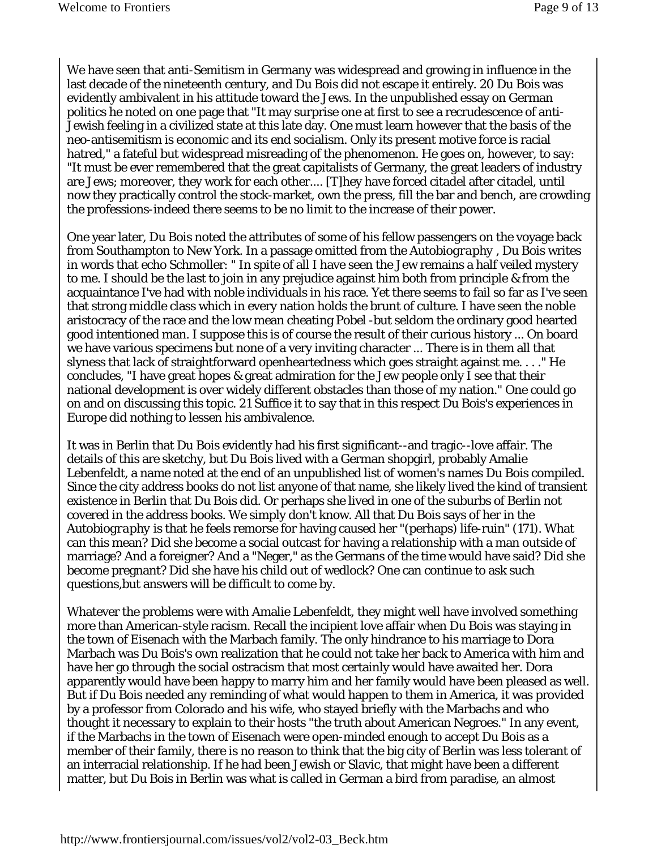We have seen that anti-Semitism in Germany was widespread and growing in influence in the last decade of the nineteenth century, and Du Bois did not escape it entirely. 20 Du Bois was evidently ambivalent in his attitude toward the Jews. In the unpublished essay on German politics he noted on one page that "It may surprise one at first to see a recrudescence of anti-Jewish feeling in a civilized state at this late day. One must learn however that the basis of the neo-antisemitism is economic and its end socialism. Only its present motive force is racial hatred," a fateful but widespread misreading of the phenomenon. He goes on, however, to say: "It must be ever remembered that the great capitalists of Germany, the great leaders of industry are Jews; moreover, they work for each other.... [T]hey have forced citadel after citadel, until now they practically control the stock-market, own the press, fill the bar and bench, are crowding the professions-indeed there seems to be no limit to the increase of their power.

One year later, Du Bois noted the attributes of some of his fellow passengers on the voyage back from Southampton to New York. In a passage omitted from the *Autobiography* , Du Bois writes in words that echo Schmoller: " In spite of all I have seen the Jew remains a half veiled mystery to me. I should be the last to join in any prejudice against him both from principle & from the acquaintance I've had with noble individuals in his race. Yet there seems to fail so far as I've seen that strong middle class which in every nation holds the brunt of culture. I have seen the noble aristocracy of the race and the low mean cheating *Pobel* -but seldom the ordinary good hearted good intentioned man. I suppose this is of course the result of their curious history ... On board we have various specimens but none of a very inviting character ... There is in them all that slyness that lack of straightforward openheartedness which goes straight against me. . . ." He concludes, "I have great hopes & great admiration for the Jew people only I see that their national development is over widely different obstacles than those of my nation." One could go on and on discussing this topic. 21 Suffice it to say that in this respect Du Bois's experiences in Europe did nothing to lessen his ambivalence.

It was in Berlin that Du Bois evidently had his first significant--and tragic--love affair. The details of this are sketchy, but Du Bois lived with a German shopgirl, probably Amalie Lebenfeldt, a name noted at the end of an unpublished list of women's names Du Bois compiled. Since the city address books do not list anyone of that name, she likely lived the kind of transient existence in Berlin that Du Bois did. Or perhaps she lived in one of the suburbs of Berlin not covered in the address books. We simply don't know. All that Du Bois says of her in the *Autobiography* is that he feels remorse for having caused her "(perhaps) life-ruin" (171). What can this mean? Did she become a social outcast for having a relationship with a man outside of marriage? And a foreigner? And a "Neger," as the Germans of the time would have said? Did she become pregnant? Did she have his child out of wedlock? One can continue to ask such questions,but answers will be difficult to come by.

Whatever the problems were with Amalie Lebenfeldt, they might well have involved something more than American-style racism. Recall the incipient love affair when Du Bois was staying in the town of Eisenach with the Marbach family. The only hindrance to his marriage to Dora Marbach was Du Bois's own realization that he could not take her back to America with him and have her go through the social ostracism that most certainly would have awaited her. Dora apparently would have been happy to marry him and her family would have been pleased as well. But if Du Bois needed any reminding of what would happen to them in America, it was provided by a professor from Colorado and his wife, who stayed briefly with the Marbachs and who thought it necessary to explain to their hosts "the truth about American Negroes." In any event, if the Marbachs in the town of Eisenach were open-minded enough to accept Du Bois as a member of their family, there is no reason to think that the big city of Berlin was less tolerant of an interracial relationship. If he had been Jewish or Slavic, that might have been a different matter, but Du Bois in Berlin was what is called in German a bird from paradise, an almost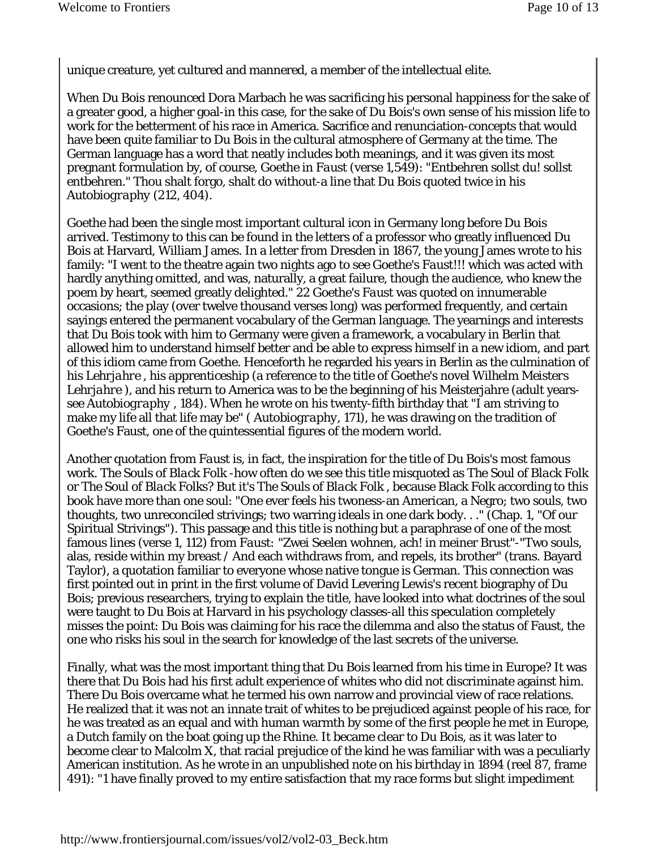unique creature, yet cultured and mannered, a member of the intellectual elite.

When Du Bois renounced Dora Marbach he was sacrificing his personal happiness for the sake of a greater good, a higher goal-in this case, for the sake of Du Bois's own sense of his mission life to work for the betterment of his race in America. Sacrifice and renunciation-concepts that would have been quite familiar to Du Bois in the cultural atmosphere of Germany at the time. The German language has a word that neatly includes both meanings, and it was given its most pregnant formulation by, of course, Goethe in *Faust* (verse 1,549): "Entbehren sollst du! sollst entbehren." Thou shalt forgo, shalt do without-a line that Du Bois quoted twice in his *Autobiography* (212, 404).

Goethe had been the single most important cultural icon in Germany long before Du Bois arrived. Testimony to this can be found in the letters of a professor who greatly influenced Du Bois at Harvard, William James. In a letter from Dresden in 1867, the young James wrote to his family: "I went to the theatre again two nights ago to see Goethe's *Faust!!!* which was acted with hardly anything omitted, and was, naturally, a great failure, though the audience, who knew the poem by heart, seemed greatly delighted." 22 Goethe's *Faust* was quoted on innumerable occasions; the play (over twelve thousand verses long) was performed frequently, and certain sayings entered the permanent vocabulary of the German language. The yearnings and interests that Du Bois took with him to Germany were given a framework, a vocabulary in Berlin that allowed him to understand himself better and be able to express himself in a new idiom, and part of this idiom came from Goethe. Henceforth he regarded his years in Berlin as the culmination of his *Lehrjahre* , his apprenticeship (a reference to the title of Goethe's novel *Wilhelm Meisters Lehrjahre* ), and his return to America was to be the beginning of his Meisterjahre (adult yearssee *Autobiography* , 184). When he wrote on his twenty-fifth birthday that "I am striving to make my life all that life may be" ( *Autobiography,* 171), he was drawing on the tradition of Goethe's Faust, one of the quintessential figures of the modern world.

Another quotation from *Faust* is, in fact, the inspiration for the title of Du Bois's most famous work. *The Souls of Black Folk* -how often do we see this title misquoted as *The Soul of Black Folk*  or *The Soul of Black Folks?* But it's *The Souls of Black Folk* , because Black Folk according to this book have more than one soul: "One ever feels his twoness-an American, a Negro; two souls, two thoughts, two unreconciled strivings; two warring ideals in one dark body. . ." (Chap. 1, "Of our Spiritual Strivings"). This passage and this title is nothing but a paraphrase of one of the most famous lines (verse 1, 112) from *Faust:* "Zwei Seelen wohnen, ach! in meiner Brust"-"Two souls, alas, reside within my breast / And each withdraws from, and repels, its brother" (trans. Bayard Taylor), a quotation familiar to everyone whose native tongue is German. This connection was first pointed out in print in the first volume of David Levering Lewis's recent biography of Du Bois; previous researchers, trying to explain the title, have looked into what doctrines of the soul were taught to Du Bois at Harvard in his psychology classes-all this speculation completely misses the point: Du Bois was claiming for his race the dilemma and also the status of Faust, the one who risks his soul in the search for knowledge of the last secrets of the universe.

Finally, what was the most important thing that Du Bois learned from his time in Europe? It was there that Du Bois had his first adult experience of whites who did not discriminate against him. There Du Bois overcame what he termed his own narrow and provincial view of race relations. He realized that it was not an innate trait of whites to be prejudiced against people of his race, for he was treated as an equal and with human warmth by some of the first people he met in Europe, a Dutch family on the boat going up the Rhine. It became clear to Du Bois, as it was later to become clear to Malcolm X, that racial prejudice of the kind he was familiar with was a peculiarly American institution. As he wrote in an unpublished note on his birthday in 1894 (reel 87, frame 491): "1 have finally proved to my entire satisfaction that my race forms but slight impediment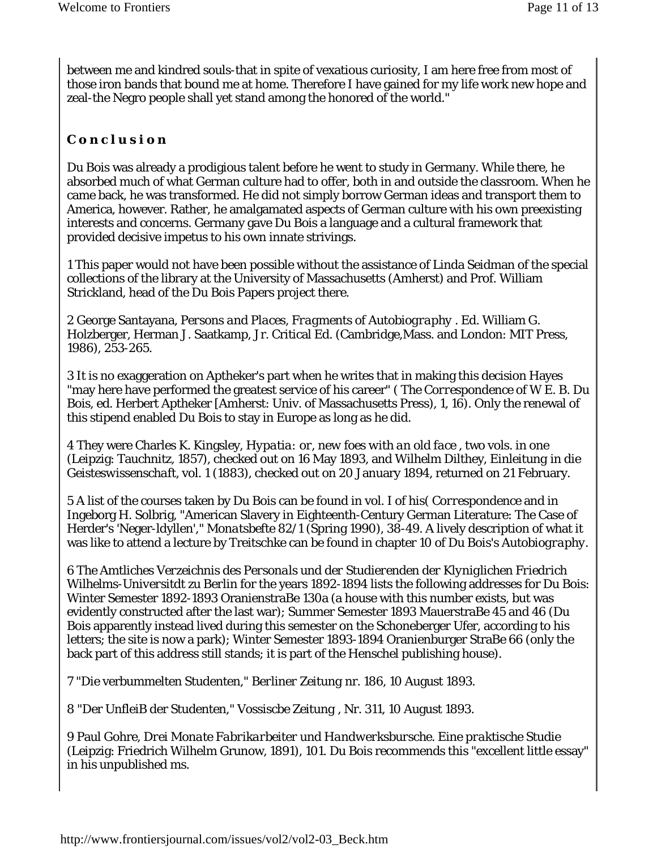between me and kindred souls-that in spite of vexatious curiosity, I am here free from most of those iron bands that bound me at home. Therefore I have gained for my life work new hope and zeal-the Negro people shall yet stand among the honored of the world."

## *C o n c l u s i o n*

Du Bois was already a prodigious talent before he went to study in Germany. While there, he absorbed much of what German culture had to offer, both in and outside the classroom. When he came back, he was transformed. He did not simply borrow German ideas and transport them to America, however. Rather, he amalgamated aspects of German culture with his own preexisting interests and concerns. Germany gave Du Bois a language and a cultural framework that provided decisive impetus to his own innate strivings.

1 This paper would not have been possible without the assistance of Linda Seidman of the special collections of the library at the University of Massachusetts (Amherst) and Prof. William Strickland, head of the Du Bois Papers project there.

2 George Santayana, *Persons and Places, Fragments of Autobiography* . Ed. William G. Holzberger, Herman J. Saatkamp, Jr. Critical Ed. (Cambridge,Mass. and London: MIT Press, 1986), 253-265.

3 It is no exaggeration on Aptheker's part when he writes that in making this decision Hayes "may here have performed the greatest service of his career" ( *The Correspondence of W E. B. Du Bois,* ed. Herbert Aptheker [Amherst: Univ. of Massachusetts Press), 1, 16). Only the renewal of this stipend enabled Du Bois to stay in Europe as long as he did.

4 They were Charles K. Kingsley, *Hypatia: or, new foes with an old face* , two vols. in one (Leipzig: Tauchnitz, 1857), checked out on 16 May 1893, and Wilhelm Dilthey, *Einleitung in die Geisteswissenschaft,* vol. 1 (1883), checked out on 20 January 1894, returned on 21 February.

5 A list of the courses taken by Du Bois can be found in vol. I of his( *Correspondence* and in Ingeborg H. Solbrig, "American Slavery in Eighteenth-Century German Literature: The Case of Herder's 'Neger-ldyllen'," *Monatsbefte* 82/1 (Spring 1990), 38-49. A lively description of what it was like to attend a lecture by Treitschke can be found in chapter 10 of Du Bois's *Autobiography.* 

6 *The Amtliches Verzeichnis des Personals und der Studierenden der Klyniglichen Friedrich Wilhelms-Universitdt zu Berlin* for the years 1892-1894 lists the following addresses for Du Bois: Winter Semester 1892-1893 OranienstraBe 130a (a house with this number exists, but was evidently constructed after the last war); Summer Semester 1893 MauerstraBe 45 and 46 (Du Bois apparently instead lived during this semester on the Schoneberger Ufer, according to his letters; the site is now a park); Winter Semester 1893-1894 Oranienburger StraBe 66 (only the back part of this address still stands; it is part of the Henschel publishing house).

7 "Die verbummelten Studenten," *Berliner Zeitung* nr. 186, 10 August 1893.

8 "Der UnfleiB der Studenten," *Vossiscbe Zeitung* , Nr. 311, 10 August 1893.

9 Paul Gohre, *Drei Monate Fabrikarbeiter und Handwerksbursche. Eine praktische Studie*  (Leipzig: Friedrich Wilhelm Grunow, 1891), 101. Du Bois recommends this "excellent little essay" in his unpublished ms.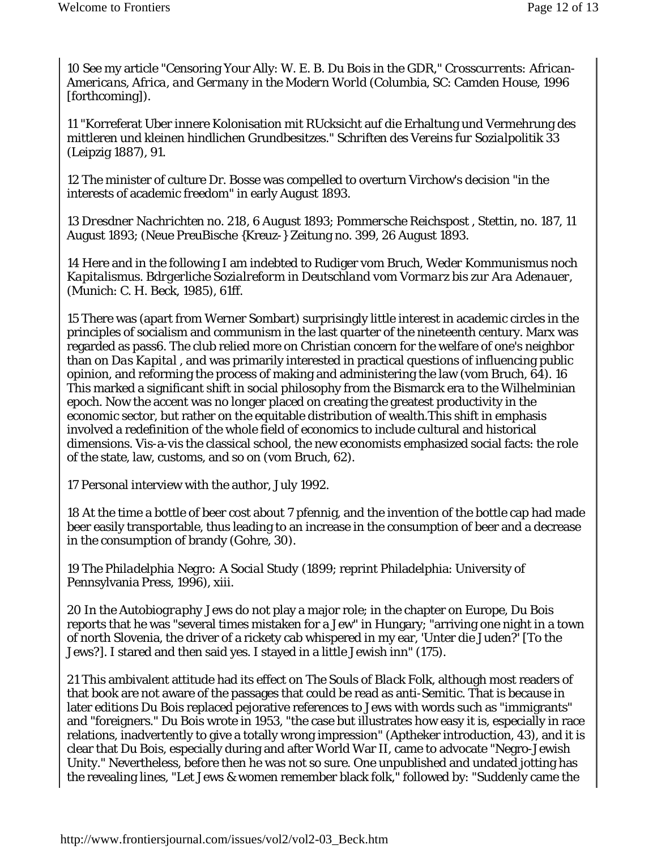10 See my article "Censoring Your Ally: W. E. B. Du Bois in the GDR," *Crosscurrents: African-Americans, Africa, and Germany in the Modern World* (Columbia, SC: Camden House, 1996 [forthcoming]).

11 "Korreferat Uber innere Kolonisation mit RUcksicht auf die Erhaltung und Vermehrung des mittleren und kleinen hindlichen Grundbesitzes." *Schriften des Vereins fur Sozialpolitik 33*  (Leipzig 1887), 91.

12 The minister of culture Dr. Bosse was compelled to overturn Virchow's decision "in the interests of academic freedom" in early August 1893.

13 *Dresdner Nachrichten* no. 218, 6 August 1893; *Pommersche Reichspost* , Stettin, no. 187, 11 August 1893; (Neue PreuBische {Kreuz-} Zeitung no. 399, 26 August 1893.

14 Here and in the following I am indebted to Rudiger vom Bruch, *Weder Kommunismus noch Kapitalismus. Bdrgerliche Sozialreform in Deutschland vom Vormarz bis zur Ara Adenauer,*  (Munich: C. H. Beck, 1985), 61ff.

15 There was (apart from Werner Sombart) surprisingly little interest in academic circles in the principles of socialism and communism in the last quarter of the nineteenth century. Marx was regarded as pass6. The club relied more on Christian concern for the welfare of one's neighbor than on *Das Kapital* , and was primarily interested in practical questions of influencing public opinion, and reforming the process of making and administering the law (vom Bruch, 64). 16 This marked a significant shift in social philosophy from the Bismarck era to the Wilhelminian epoch. Now the accent was no longer placed on creating the greatest productivity in the economic sector, but rather on the equitable distribution of wealth.This shift in emphasis involved a redefinition of the whole field of economics to include cultural and historical dimensions. Vis-a-vis the classical school, the new economists emphasized social facts: the role of the state, law, customs, and so on (vom Bruch, 62).

17 Personal interview with the author, July 1992.

18 At the time a bottle of beer cost about 7 pfennig, and the invention of the bottle cap had made beer easily transportable, thus leading to an increase in the consumption of beer and a decrease in the consumption of brandy (Gohre, 30).

19 *The Philadelphia Negro: A Social Study* (1899; reprint Philadelphia: University of Pennsylvania Press, 1996), xiii.

20 In the *Autobiography* Jews do not play a major role; in the chapter on Europe, Du Bois reports that he was "several times mistaken for a Jew" in Hungary; "arriving one night in a town of north Slovenia, the driver of a rickety cab whispered in my ear, 'Unter die Juden?' [To the Jews?]. I stared and then said yes. I stayed in a little Jewish inn" (175).

21 This ambivalent attitude had its effect on *The Souls of Black Folk,* although most readers of that book are not aware of the passages that could be read as anti-Semitic. That is because in later editions Du Bois replaced pejorative references to Jews with words such as "immigrants" and "foreigners." Du Bois wrote in 1953, "the case but illustrates how easy it is, especially in race relations, inadvertently to give a totally wrong impression" (Aptheker introduction, 43), and it is clear that Du Bois, especially during and after World War II, came to advocate "Negro-Jewish Unity." Nevertheless, before then he was not so sure. One unpublished and undated jotting has the revealing lines, "Let Jews & women remember black folk," followed by: "Suddenly came the